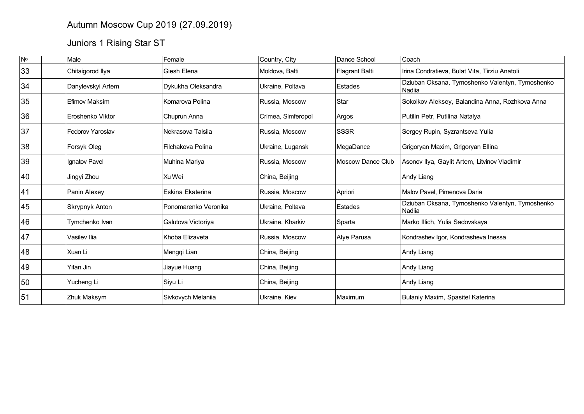## Autumn Moscow Cup 2019 (27.09.2019)

# Juniors 1 Rising Star ST

| N <sub>2</sub> | Male                    | Female               | Country, City      | Dance School          | Coach                                                     |
|----------------|-------------------------|----------------------|--------------------|-----------------------|-----------------------------------------------------------|
| 33             | Chitaigorod Ilya        | Giesh Elena          | Moldova, Balti     | <b>Flagrant Balti</b> | Irina Condratieva, Bulat Vita, Tirziu Anatoli             |
| 34             | Danylevskyi Artem       | Dykukha Oleksandra   | Ukraine, Poltava   | Estades               | Dziuban Oksana, Tymoshenko Valentyn, Tymoshenko<br>Nadiia |
| 35             | Efimov Maksim           | Komarova Polina      | Russia, Moscow     | Star                  | Sokolkov Aleksey, Balandina Anna, Rozhkova Anna           |
| 36             | Eroshenko Viktor        | Chuprun Anna         | Crimea, Simferopol | Argos                 | Putilin Petr, Putilina Natalya                            |
| 37             | <b>Fedorov Yaroslav</b> | Nekrasova Taisija    | Russia, Moscow     | <b>SSSR</b>           | Sergey Rupin, Syzrantseva Yulia                           |
| 38             | Forsyk Oleg             | Filchakova Polina    | Ukraine, Lugansk   | MegaDance             | Grigoryan Maxim, Grigoryan Ellina                         |
| 39             | Ignatov Pavel           | Muhina Mariya        | Russia, Moscow     | Moscow Dance Club     | Asonov Ilya, Gaylit Artem, Litvinov Vladimir              |
| 40             | Jingyi Zhou             | Xu Wei               | China, Beijing     |                       | Andy Liang                                                |
| 41             | Panin Alexey            | Eskina Ekaterina     | Russia, Moscow     | Apriori               | Malov Pavel, Pimenova Daria                               |
| 45             | Skrypnyk Anton          | Ponomarenko Veronika | Ukraine, Poltava   | Estades               | Dziuban Oksana, Tymoshenko Valentyn, Tymoshenko<br>Nadiia |
| 46             | Tymchenko Ivan          | Galutova Victoriya   | Ukraine, Kharkiv   | Sparta                | Marko Illich, Yulia Sadovskaya                            |
| 47             | Vasilev Ilia            | Khoba Elizaveta      | Russia, Moscow     | Alye Parusa           | Kondrashev Igor, Kondrasheva Inessa                       |
| 48             | Xuan Li                 | Mengqi Lian          | China, Beijing     |                       | Andy Liang                                                |
| 49             | Yifan Jin               | Jiayue Huang         | China, Beijing     |                       | Andy Liang                                                |
| 50             | Yucheng Li              | Siyu Li              | China, Beijing     |                       | Andy Liang                                                |
| 51             | <b>Zhuk Maksym</b>      | Sivkovych Melaniia   | Ukraine, Kiev      | Maximum               | Bulaniy Maxim, Spasitel Katerina                          |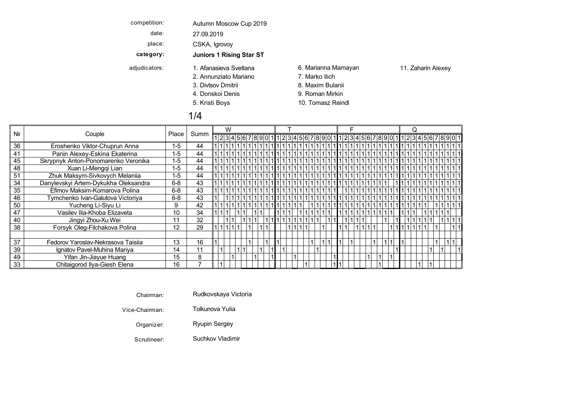| competition:  | Autumn Moscow Cup 2019                                                |                                                                              |                    |
|---------------|-----------------------------------------------------------------------|------------------------------------------------------------------------------|--------------------|
| date:         | 27.09.2019                                                            |                                                                              |                    |
| place:        | CSKA, Igrovoy                                                         |                                                                              |                    |
| category:     | <b>Juniors 1 Rising Star ST</b>                                       |                                                                              |                    |
| adjudicators: | 1. Afanasieva Svetlana<br>2. Annunziato Mariano<br>3. Divtsov Dmitrii | 6. Marianna Mamayan<br>7. Marko Ilich<br>8. Maxim Bulanii<br>9. Roman Mirkin | 11. Zaharin Alexey |
|               | 4. Donskoj Denis<br>5. Kristi Boys                                    | 10. Tomasz Reindl                                                            |                    |

#### 1/4

| Nº |                                      |         |      | W |  |                                                             |  |  |  |  |  |  |  |  |  |  |  |  |  |
|----|--------------------------------------|---------|------|---|--|-------------------------------------------------------------|--|--|--|--|--|--|--|--|--|--|--|--|--|
|    | Couple                               | Place   | Summ |   |  | 12345678901112345678901112345678901112345678901112345678901 |  |  |  |  |  |  |  |  |  |  |  |  |  |
| 36 | Eroshenko Viktor-Chuprun Anna        | $1 - 5$ | 44   |   |  |                                                             |  |  |  |  |  |  |  |  |  |  |  |  |  |
| 41 | Panin Alexey-Eskina Ekaterina        | $1 - 5$ | 44   |   |  |                                                             |  |  |  |  |  |  |  |  |  |  |  |  |  |
| 45 | Skrypnyk Anton-Ponomarenko Veronika  | $1 - 5$ | 44   |   |  |                                                             |  |  |  |  |  |  |  |  |  |  |  |  |  |
| 48 | Xuan Li-Mengqi Lian                  | $1-5$   | 44   |   |  |                                                             |  |  |  |  |  |  |  |  |  |  |  |  |  |
| 51 | Zhuk Maksym-Sivkovych Melaniia       | $1 - 5$ | 44   |   |  |                                                             |  |  |  |  |  |  |  |  |  |  |  |  |  |
| 34 | Danylevskyi Artem-Dykukha Oleksandra | $6 - 8$ | 43   |   |  |                                                             |  |  |  |  |  |  |  |  |  |  |  |  |  |
| 35 | Efimov Maksim-Komarova Polina        | $6-8$   | 43   |   |  |                                                             |  |  |  |  |  |  |  |  |  |  |  |  |  |
| 46 | Tymchenko Ivan-Galutova Victoriya    | $6 - 8$ | 43   |   |  |                                                             |  |  |  |  |  |  |  |  |  |  |  |  |  |
| 50 | Yucheng Li-Siyu Li                   |         | 42   |   |  |                                                             |  |  |  |  |  |  |  |  |  |  |  |  |  |
| 47 | Vasilev Ilia-Khoba Elizaveta         | 10      | 34   |   |  |                                                             |  |  |  |  |  |  |  |  |  |  |  |  |  |
| 40 | Jingyi Zhou-Xu Wei                   | 11      | 32   |   |  |                                                             |  |  |  |  |  |  |  |  |  |  |  |  |  |
| 38 | Forsyk Oleg-Filchakova Polina        | 12      | 29   |   |  |                                                             |  |  |  |  |  |  |  |  |  |  |  |  |  |
|    |                                      |         |      |   |  |                                                             |  |  |  |  |  |  |  |  |  |  |  |  |  |
| 37 | Fedorov Yaroslav-Nekrasova Taisiia   | 13      | 16   |   |  |                                                             |  |  |  |  |  |  |  |  |  |  |  |  |  |
| 39 | Ignatov Pavel-Muhina Mariya          | 14      | 11   |   |  |                                                             |  |  |  |  |  |  |  |  |  |  |  |  |  |
| 49 | Yifan Jin-Jiayue Huang               | 15      | 8    |   |  |                                                             |  |  |  |  |  |  |  |  |  |  |  |  |  |
| 33 | Chitaigorod Ilya-Giesh Elena         | 16      |      |   |  |                                                             |  |  |  |  |  |  |  |  |  |  |  |  |  |

Chairman: Rudkovskaya Victoria

Vice-Chairman: Tolkunova Yulia

Organizer: Ryupin Sergey

Scrutineer: Suchkov Vladimir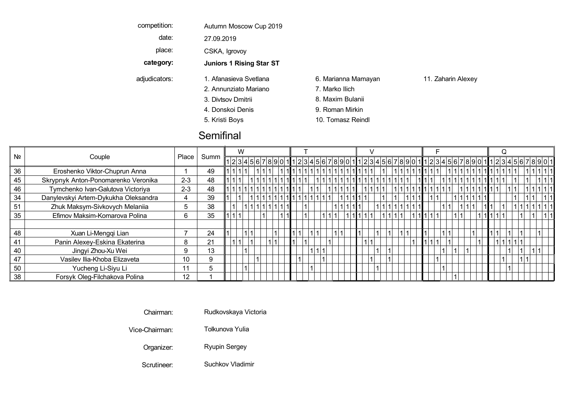| competition:  | Autumn Moscow Cup 2019          |                     |                    |
|---------------|---------------------------------|---------------------|--------------------|
| date:         | 27.09.2019                      |                     |                    |
| place:        | CSKA, Igrovoy                   |                     |                    |
| category:     | <b>Juniors 1 Rising Star ST</b> |                     |                    |
| adjudicators: | 1. Afanasieva Svetlana          | 6. Marianna Mamayan | 11. Zaharin Alexey |
|               | 2. Annunziato Mariano           | 7. Marko Ilich      |                    |
|               | 3. Divtsov Dmitrii              | 8. Maxim Bulanii    |                    |
|               | 4. Donskoj Denis                | 9. Roman Mirkin     |                    |
|               | 5. Kristi Boys                  | 10. Tomasz Reindl   |                    |
|               |                                 |                     |                    |

### **Semifinal**

|                |                                      |         |      | W |  |                    |  |  |  |  |                                                                                                                 |        |  |                       |  |  |  |  |  |  |  |
|----------------|--------------------------------------|---------|------|---|--|--------------------|--|--|--|--|-----------------------------------------------------------------------------------------------------------------|--------|--|-----------------------|--|--|--|--|--|--|--|
| N <sub>o</sub> | Couple                               | Place   | Summ |   |  |                    |  |  |  |  | 1 2 3 4 5 6 7 8 9 0 1  1 2 3 4 5 6 7 8 9 0 1  1 2 3 4 5 6 7 8 9 0 1  1 2 3 4 5 6 7 8 9 0 1  1 2 3 4 5 6 7 8 9 0 |        |  |                       |  |  |  |  |  |  |  |
| 36             | Eroshenko Viktor-Chuprun Anna        |         | 49   |   |  |                    |  |  |  |  | !1 1 1 1 1 1 1 1 1 1 1 1 1                                                                                      |        |  |                       |  |  |  |  |  |  |  |
| 45             | Skrypnyk Anton-Ponomarenko Veronika  | $2 - 3$ | 48   |   |  |                    |  |  |  |  | 11111111111111111                                                                                               |        |  |                       |  |  |  |  |  |  |  |
| 46             | Tymchenko Ivan-Galutova Victoriya    | $2 - 3$ | 48   |   |  | 1 1 1 1 1 1 1  1 1 |  |  |  |  | 1 1 1 1 1    1 1 1 1                                                                                            |        |  | 1 1 1 1 1 1 1 1 1 1 1 |  |  |  |  |  |  |  |
| 34             | Danylevskyi Artem-Dykukha Oleksandra |         | 39   |   |  |                    |  |  |  |  |                                                                                                                 |        |  |                       |  |  |  |  |  |  |  |
| 51             | Zhuk Maksym-Sivkovych Melaniia       |         | 38   |   |  |                    |  |  |  |  |                                                                                                                 |        |  |                       |  |  |  |  |  |  |  |
| 35             | Efimov Maksim-Komarova Polina        |         | 35   |   |  |                    |  |  |  |  |                                                                                                                 | 111111 |  |                       |  |  |  |  |  |  |  |
|                |                                      |         |      |   |  |                    |  |  |  |  |                                                                                                                 |        |  |                       |  |  |  |  |  |  |  |
| 48             | Xuan Li-Mengqi Lian                  |         | 24   |   |  |                    |  |  |  |  |                                                                                                                 |        |  |                       |  |  |  |  |  |  |  |
|                | Panin Alexey-Eskina Ekaterina        |         | 21   |   |  |                    |  |  |  |  |                                                                                                                 |        |  |                       |  |  |  |  |  |  |  |
| 40             | Jingyi Zhou-Xu Wei                   |         | 13   |   |  |                    |  |  |  |  |                                                                                                                 |        |  |                       |  |  |  |  |  |  |  |
| 47             | Vasilev Ilia-Khoba Elizaveta         | 10      | 9    |   |  |                    |  |  |  |  |                                                                                                                 |        |  |                       |  |  |  |  |  |  |  |
| 50             | Yucheng Li-Siyu Li                   | 11      | .5   |   |  |                    |  |  |  |  |                                                                                                                 |        |  |                       |  |  |  |  |  |  |  |
| 38             | Forsyk Oleg-Filchakova Polina        | 12      |      |   |  |                    |  |  |  |  |                                                                                                                 |        |  |                       |  |  |  |  |  |  |  |

Chairman: Rudkovskaya Victoria

Vice-Chairman: Tolkunova Yulia Divtsov Maxim Viennese V Dmitrii Bulanii Waltz

Organizer: Ryupin Sergey Kristi Tomasz Quickstep Q BoysReindl

Scrutineer: Suchkov Vladimir Samba Suchkov Vladimir Samba Suchkov Sucha Suchkov Suchkov Suchkov Suchkov Suchkov